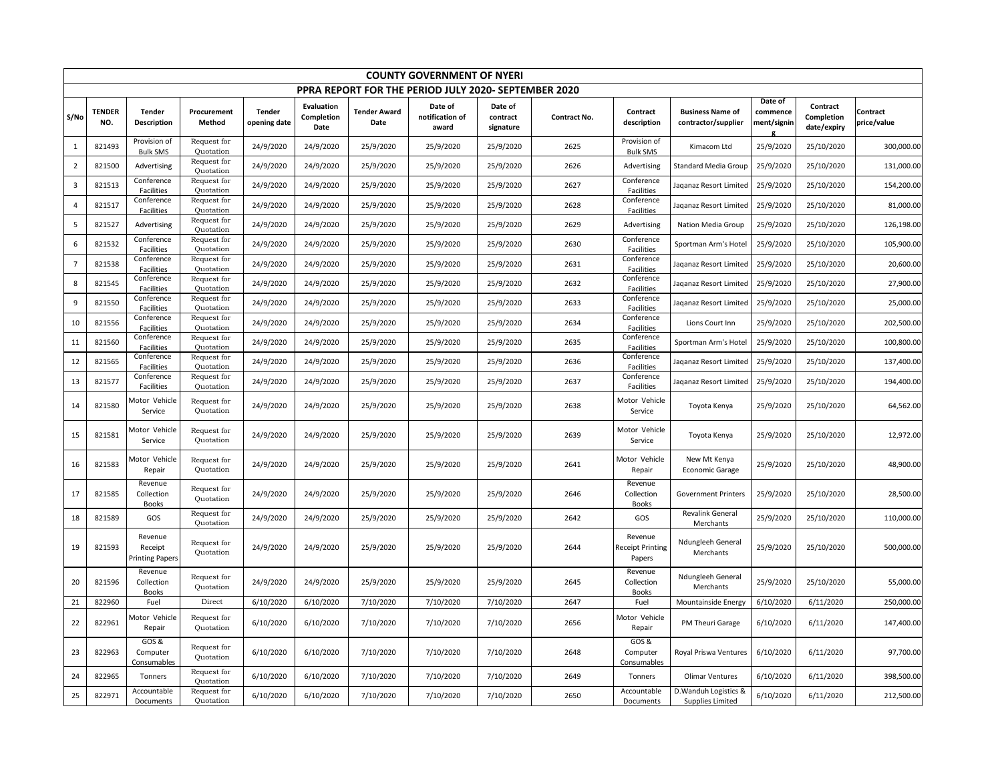|                | <b>COUNTY GOVERNMENT OF NYERI</b>                    |                                              |                          |                               |                                         |                             |                                     |                                  |              |                                              |                                                  |                                    |                                       |                         |
|----------------|------------------------------------------------------|----------------------------------------------|--------------------------|-------------------------------|-----------------------------------------|-----------------------------|-------------------------------------|----------------------------------|--------------|----------------------------------------------|--------------------------------------------------|------------------------------------|---------------------------------------|-------------------------|
|                | PPRA REPORT FOR THE PERIOD JULY 2020- SEPTEMBER 2020 |                                              |                          |                               |                                         |                             |                                     |                                  |              |                                              |                                                  |                                    |                                       |                         |
| S/No           | <b>TENDER</b><br>NO.                                 | <b>Tender</b><br>Description                 | Procurement<br>Method    | <b>Tender</b><br>opening date | <b>Evaluation</b><br>Completion<br>Date | <b>Tender Award</b><br>Date | Date of<br>notification of<br>award | Date of<br>contract<br>signature | Contract No. | Contract<br>description                      | <b>Business Name of</b><br>contractor/supplier   | Date of<br>commence<br>ment/signin | Contract<br>Completion<br>date/expiry | Contract<br>price/value |
| $\mathbf{1}$   | 821493                                               | Provision of<br><b>Bulk SMS</b>              | Request for<br>Quotation | 24/9/2020                     | 24/9/2020                               | 25/9/2020                   | 25/9/2020                           | 25/9/2020                        | 2625         | Provision of<br><b>Bulk SMS</b>              | Kimacom Ltd                                      | 25/9/2020                          | 25/10/2020                            | 300,000.00              |
| $\overline{2}$ | 821500                                               | Advertising                                  | Request for<br>Quotation | 24/9/2020                     | 24/9/2020                               | 25/9/2020                   | 25/9/2020                           | 25/9/2020                        | 2626         | Advertising                                  | <b>Standard Media Group</b>                      | 25/9/2020                          | 25/10/2020                            | 131,000.00              |
| 3              | 821513                                               | Conference<br>Facilities                     | Request for<br>Quotation | 24/9/2020                     | 24/9/2020                               | 25/9/2020                   | 25/9/2020                           | 25/9/2020                        | 2627         | Conference<br>Facilities                     | Jaganaz Resort Limited                           | 25/9/2020                          | 25/10/2020                            | 154,200.00              |
| $\overline{4}$ | 821517                                               | Conference<br>Facilities                     | Request for<br>Quotation | 24/9/2020                     | 24/9/2020                               | 25/9/2020                   | 25/9/2020                           | 25/9/2020                        | 2628         | Conference<br>Facilities                     | Jaqanaz Resort Limited                           | 25/9/2020                          | 25/10/2020                            | 81,000.00               |
| 5              | 821527                                               | Advertising                                  | Request for<br>Quotation | 24/9/2020                     | 24/9/2020                               | 25/9/2020                   | 25/9/2020                           | 25/9/2020                        | 2629         | Advertising                                  | Nation Media Group                               | 25/9/2020                          | 25/10/2020                            | 126,198.00              |
| 6              | 821532                                               | Conference<br>Facilities                     | Request for<br>Quotation | 24/9/2020                     | 24/9/2020                               | 25/9/2020                   | 25/9/2020                           | 25/9/2020                        | 2630         | Conference<br>Facilities                     | Sportman Arm's Hotel                             | 25/9/2020                          | 25/10/2020                            | 105,900.00              |
| $\overline{7}$ | 821538                                               | Conference<br><b>Facilities</b>              | Request for<br>Quotation | 24/9/2020                     | 24/9/2020                               | 25/9/2020                   | 25/9/2020                           | 25/9/2020                        | 2631         | Conference<br>Facilities                     | Jaqanaz Resort Limited                           | 25/9/2020                          | 25/10/2020                            | 20,600.00               |
| 8              | 821545                                               | Conference<br><b>Facilities</b>              | Request for<br>Quotation | 24/9/2020                     | 24/9/2020                               | 25/9/2020                   | 25/9/2020                           | 25/9/2020                        | 2632         | Conference<br>Facilities                     | Jaqanaz Resort Limitec                           | 25/9/2020                          | 25/10/2020                            | 27,900.00               |
| 9              | 821550                                               | Conference<br>Facilities                     | Request for<br>Quotation | 24/9/2020                     | 24/9/2020                               | 25/9/2020                   | 25/9/2020                           | 25/9/2020                        | 2633         | Conference<br>Facilities                     | Jaqanaz Resort Limitec                           | 25/9/2020                          | 25/10/2020                            | 25,000.00               |
| 10             | 821556                                               | Conference<br>Facilities                     | Request for<br>Quotation | 24/9/2020                     | 24/9/2020                               | 25/9/2020                   | 25/9/2020                           | 25/9/2020                        | 2634         | Conference<br>Facilities                     | Lions Court Inn                                  | 25/9/2020                          | 25/10/2020                            | 202,500.00              |
| 11             | 821560                                               | Conference<br><b>Facilities</b>              | Request for<br>Quotation | 24/9/2020                     | 24/9/2020                               | 25/9/2020                   | 25/9/2020                           | 25/9/2020                        | 2635         | Conference<br>Facilities                     | Sportman Arm's Hotel                             | 25/9/2020                          | 25/10/2020                            | 100,800.00              |
| 12             | 821565                                               | Conference<br>Facilities                     | Request for<br>Quotation | 24/9/2020                     | 24/9/2020                               | 25/9/2020                   | 25/9/2020                           | 25/9/2020                        | 2636         | Conference<br>Facilities                     | Jaganaz Resort Limited                           | 25/9/2020                          | 25/10/2020                            | 137,400.00              |
| 13             | 821577                                               | Conference<br>Facilities                     | Request for<br>Quotation | 24/9/2020                     | 24/9/2020                               | 25/9/2020                   | 25/9/2020                           | 25/9/2020                        | 2637         | Conference<br>Facilities                     | Jaqanaz Resort Limited                           | 25/9/2020                          | 25/10/2020                            | 194,400.00              |
| 14             | 821580                                               | <b>Motor Vehicle</b><br>Service              | Request for<br>Quotation | 24/9/2020                     | 24/9/2020                               | 25/9/2020                   | 25/9/2020                           | 25/9/2020                        | 2638         | Motor Vehicle<br>Service                     | Toyota Kenya                                     | 25/9/2020                          | 25/10/2020                            | 64,562.00               |
| 15             | 821581                                               | <b>Motor Vehicle</b><br>Service              | Request for<br>Quotation | 24/9/2020                     | 24/9/2020                               | 25/9/2020                   | 25/9/2020                           | 25/9/2020                        | 2639         | Motor Vehicle<br>Service                     | Toyota Kenya                                     | 25/9/2020                          | 25/10/2020                            | 12,972.00               |
| 16             | 821583                                               | <b>Motor Vehicle</b><br>Repair               | Request for<br>Quotation | 24/9/2020                     | 24/9/2020                               | 25/9/2020                   | 25/9/2020                           | 25/9/2020                        | 2641         | Motor Vehicle<br>Repair                      | New Mt Kenya<br>Economic Garage                  | 25/9/2020                          | 25/10/2020                            | 48,900.00               |
| 17             | 821585                                               | Revenue<br>Collection<br><b>Books</b>        | Request for<br>Quotation | 24/9/2020                     | 24/9/2020                               | 25/9/2020                   | 25/9/2020                           | 25/9/2020                        | 2646         | Revenue<br>Collection<br><b>Books</b>        | <b>Government Printers</b>                       | 25/9/2020                          | 25/10/2020                            | 28,500.00               |
| 18             | 821589                                               | GOS                                          | Request for<br>Quotation | 24/9/2020                     | 24/9/2020                               | 25/9/2020                   | 25/9/2020                           | 25/9/2020                        | 2642         | GOS                                          | Revalink General<br>Merchants                    | 25/9/2020                          | 25/10/2020                            | 110,000.00              |
| 19             | 821593                                               | Revenue<br>Receipt<br><b>Printing Papers</b> | Request for<br>Quotation | 24/9/2020                     | 24/9/2020                               | 25/9/2020                   | 25/9/2020                           | 25/9/2020                        | 2644         | Revenue<br><b>Receipt Printing</b><br>Papers | Ndungleeh General<br>Merchants                   | 25/9/2020                          | 25/10/2020                            | 500,000.00              |
| 20             | 821596                                               | Revenue<br>Collection<br><b>Books</b>        | Request for<br>Quotation | 24/9/2020                     | 24/9/2020                               | 25/9/2020                   | 25/9/2020                           | 25/9/2020                        | 2645         | Revenue<br>Collection<br><b>Books</b>        | Ndungleeh General<br>Merchants                   | 25/9/2020                          | 25/10/2020                            | 55,000.00               |
| 21             | 822960                                               | Fuel                                         | Direct                   | 6/10/2020                     | 6/10/2020                               | 7/10/2020                   | 7/10/2020                           | 7/10/2020                        | 2647         | Fuel                                         | Mountainside Energy                              | 6/10/2020                          | 6/11/2020                             | 250,000.00              |
| 22             | 822961                                               | <b>Motor Vehicle</b><br>Repair               | Request for<br>Quotation | 6/10/2020                     | 6/10/2020                               | 7/10/2020                   | 7/10/2020                           | 7/10/2020                        | 2656         | Motor Vehicle<br>Repair                      | PM Theuri Garage                                 | 6/10/2020                          | 6/11/2020                             | 147,400.00              |
| 23             | 822963                                               | $GOS$ &<br>Computer<br>Consumables           | Request for<br>Quotation | 6/10/2020                     | 6/10/2020                               | 7/10/2020                   | 7/10/2020                           | 7/10/2020                        | 2648         | GOS&<br>Computer<br>Consumables              | Royal Priswa Ventures                            | 6/10/2020                          | 6/11/2020                             | 97,700.00               |
| 24             | 822965                                               | Tonners                                      | Request for<br>Quotation | 6/10/2020                     | 6/10/2020                               | 7/10/2020                   | 7/10/2020                           | 7/10/2020                        | 2649         | Tonners                                      | <b>Olimar Ventures</b>                           | 6/10/2020                          | 6/11/2020                             | 398,500.00              |
| 25             | 822971                                               | Accountable<br>Documents                     | Request for<br>Quotation | 6/10/2020                     | 6/10/2020                               | 7/10/2020                   | 7/10/2020                           | 7/10/2020                        | 2650         | Accountable<br>Documents                     | D. Wanduh Logistics &<br><b>Supplies Limited</b> | 6/10/2020                          | 6/11/2020                             | 212,500.00              |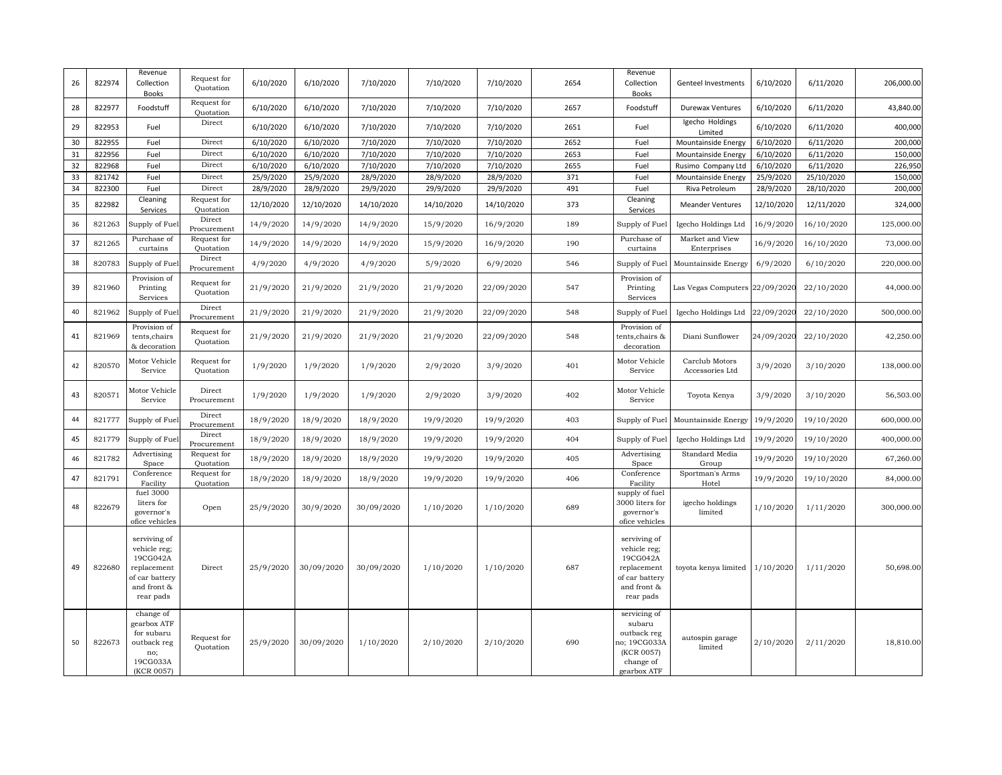| 26 | 822974 | Revenue<br>Collection<br>Books                                                                        | Request for<br>Quotation | 6/10/2020  | 6/10/2020  | 7/10/2020  | 7/10/2020  | 7/10/2020  | 2654 | Revenue<br>Collection<br><b>Books</b>                                                                 | Genteel Investments               | 6/10/2020  | 6/11/2020  | 206,000.00 |
|----|--------|-------------------------------------------------------------------------------------------------------|--------------------------|------------|------------|------------|------------|------------|------|-------------------------------------------------------------------------------------------------------|-----------------------------------|------------|------------|------------|
| 28 | 822977 | Foodstuff                                                                                             | Request for<br>Quotation | 6/10/2020  | 6/10/2020  | 7/10/2020  | 7/10/2020  | 7/10/2020  | 2657 | Foodstuff                                                                                             | <b>Durewax Ventures</b>           | 6/10/2020  | 6/11/2020  | 43,840.00  |
| 29 | 822953 | Fuel                                                                                                  | Direct                   | 6/10/2020  | 6/10/2020  | 7/10/2020  | 7/10/2020  | 7/10/2020  | 2651 | Fuel                                                                                                  | Igecho Holdings<br>Limited        | 6/10/2020  | 6/11/2020  | 400,000    |
| 30 | 822955 | Fuel                                                                                                  | Direct                   | 6/10/2020  | 6/10/2020  | 7/10/2020  | 7/10/2020  | 7/10/2020  | 2652 | Fuel                                                                                                  | Mountainside Energy               | 6/10/2020  | 6/11/2020  | 200,000    |
| 31 | 822956 | Fuel                                                                                                  | Direct                   | 6/10/2020  | 6/10/2020  | 7/10/2020  | 7/10/2020  | 7/10/2020  | 2653 | Fuel                                                                                                  | Mountainside Energy               | 6/10/2020  | 6/11/2020  | 150,000    |
| 32 | 822968 | Fuel                                                                                                  | Direct                   | 6/10/2020  | 6/10/2020  | 7/10/2020  | 7/10/2020  | 7/10/2020  | 2655 | Fuel                                                                                                  | Rusimo Company Ltd                | 6/10/2020  | 6/11/2020  | 226,950    |
| 33 | 821742 | Fuel                                                                                                  | Direct                   | 25/9/2020  | 25/9/2020  | 28/9/2020  | 28/9/2020  | 28/9/2020  | 371  | Fuel                                                                                                  | Mountainside Energy               | 25/9/2020  | 25/10/2020 | 150,000    |
| 34 | 822300 | Fuel                                                                                                  | Direct                   | 28/9/2020  | 28/9/2020  | 29/9/2020  | 29/9/2020  | 29/9/2020  | 491  | Fuel                                                                                                  | Riva Petroleum                    | 28/9/2020  | 28/10/2020 | 200,000    |
| 35 | 822982 | Cleaning<br>Services                                                                                  | Request for<br>Quotation | 12/10/2020 | 12/10/2020 | 14/10/2020 | 14/10/2020 | 14/10/2020 | 373  | Cleaning<br>Services                                                                                  | <b>Meander Ventures</b>           | 12/10/2020 | 12/11/2020 | 324,000    |
| 36 | 821263 | Supply of Fue                                                                                         | Direct<br>Procurement    | 14/9/2020  | 14/9/2020  | 14/9/2020  | 15/9/2020  | 16/9/2020  | 189  | Supply of Fuel                                                                                        | Igecho Holdings Ltd               | 16/9/2020  | 16/10/2020 | 125,000.00 |
| 37 | 821265 | Purchase of<br>curtains                                                                               | Request for<br>Quotation | 14/9/2020  | 14/9/2020  | 14/9/2020  | 15/9/2020  | 16/9/2020  | 190  | Purchase of<br>curtains                                                                               | Market and View<br>Enterprises    | 16/9/2020  | 16/10/2020 | 73,000.00  |
| 38 | 820783 | Supply of Fuel                                                                                        | Direct<br>Procurement    | 4/9/2020   | 4/9/2020   | 4/9/2020   | 5/9/2020   | 6/9/2020   | 546  | Supply of Fuel                                                                                        | Mountainside Energy               | 6/9/2020   | 6/10/2020  | 220,000.00 |
| 39 | 821960 | Provision of<br>Printing<br>Services                                                                  | Request for<br>Quotation | 21/9/2020  | 21/9/2020  | 21/9/2020  | 21/9/2020  | 22/09/2020 | 547  | Provision of<br>Printing<br>Services                                                                  | Las Vegas Computers 22/09/2020    |            | 22/10/2020 | 44,000.00  |
| 40 | 821962 | Supply of Fuel                                                                                        | Direct<br>Procurement    | 21/9/2020  | 21/9/2020  | 21/9/2020  | 21/9/2020  | 22/09/2020 | 548  | Supply of Fuel                                                                                        | Igecho Holdings Ltd               | 22/09/2020 | 22/10/2020 | 500,000.00 |
| 41 | 821969 | Provision of<br>tents, chairs<br>& decoration                                                         | Request for<br>Quotation | 21/9/2020  | 21/9/2020  | 21/9/2020  | 21/9/2020  | 22/09/2020 | 548  | Provision of<br>tents,chairs &<br>decoration                                                          | Diani Sunflower                   | 24/09/2020 | 22/10/2020 | 42,250.00  |
| 42 | 820570 | Motor Vehicle<br>Service                                                                              | Request for<br>Quotation | 1/9/2020   | 1/9/2020   | 1/9/2020   | 2/9/2020   | 3/9/2020   | 401  | Motor Vehicle<br>Service                                                                              | Carclub Motors<br>Accessories Ltd | 3/9/2020   | 3/10/2020  | 138,000.00 |
| 43 | 820571 | Motor Vehicle<br>Service                                                                              | Direct<br>Procurement    | 1/9/2020   | 1/9/2020   | 1/9/2020   | 2/9/2020   | 3/9/2020   | 402  | Motor Vehicle<br>Service                                                                              | Toyota Kenya                      | 3/9/2020   | 3/10/2020  | 56,503.00  |
| 44 | 821777 | Supply of Fuel                                                                                        | Direct<br>Procurement    | 18/9/2020  | 18/9/2020  | 18/9/2020  | 19/9/2020  | 19/9/2020  | 403  | Supply of Fuel                                                                                        | Mountainside Energy               | 19/9/2020  | 19/10/2020 | 600,000.00 |
| 45 | 821779 | Supply of Fue                                                                                         | Direct<br>Procurement    | 18/9/2020  | 18/9/2020  | 18/9/2020  | 19/9/2020  | 19/9/2020  | 404  | Supply of Fuel                                                                                        | Igecho Holdings Ltd               | 19/9/2020  | 19/10/2020 | 400,000.00 |
| 46 | 821782 | Advertising<br>Space                                                                                  | Request for<br>Quotation | 18/9/2020  | 18/9/2020  | 18/9/2020  | 19/9/2020  | 19/9/2020  | 405  | Advertising<br>Space                                                                                  | Standard Media<br>Group           | 19/9/2020  | 19/10/2020 | 67,260.00  |
| 47 | 821791 | Conference<br>Facility                                                                                | Request for<br>Quotation | 18/9/2020  | 18/9/2020  | 18/9/2020  | 19/9/2020  | 19/9/2020  | 406  | Conference<br>Facility                                                                                | Sportman's Arms<br>Hotel          | 19/9/2020  | 19/10/2020 | 84,000.00  |
| 48 | 822679 | fuel 3000<br>liters for<br>governor's<br>ofice vehicles                                               | Open                     | 25/9/2020  | 30/9/2020  | 30/09/2020 | 1/10/2020  | 1/10/2020  | 689  | supply of fuel<br>3000 liters for<br>governor's<br>ofice vehicles                                     | igecho holdings<br>limited        | 1/10/2020  | 1/11/2020  | 300,000.00 |
| 49 | 822680 | serviving of<br>vehicle reg;<br>19CG042A<br>replacement<br>of car battery<br>and front &<br>rear pads | Direct                   | 25/9/2020  | 30/09/2020 | 30/09/2020 | 1/10/2020  | 1/10/2020  | 687  | serviving of<br>vehicle reg;<br>19CG042A<br>replacement<br>of car battery<br>and front &<br>rear pads | toyota kenya limited              | 1/10/2020  | 1/11/2020  | 50,698.00  |
| 50 | 822673 | change of<br>gearbox ATF<br>for subaru<br>outback reg<br>no;<br>19CG033A<br>(KCR 0057)                | Request for<br>Quotation | 25/9/2020  | 30/09/2020 | 1/10/2020  | 2/10/2020  | 2/10/2020  | 690  | servicing of<br>subaru<br>outback reg<br>no; 19CG033A<br>(KCR 0057)<br>change of<br>gearbox ATF       | autospin garage<br>limited        | 2/10/2020  | 2/11/2020  | 18,810.00  |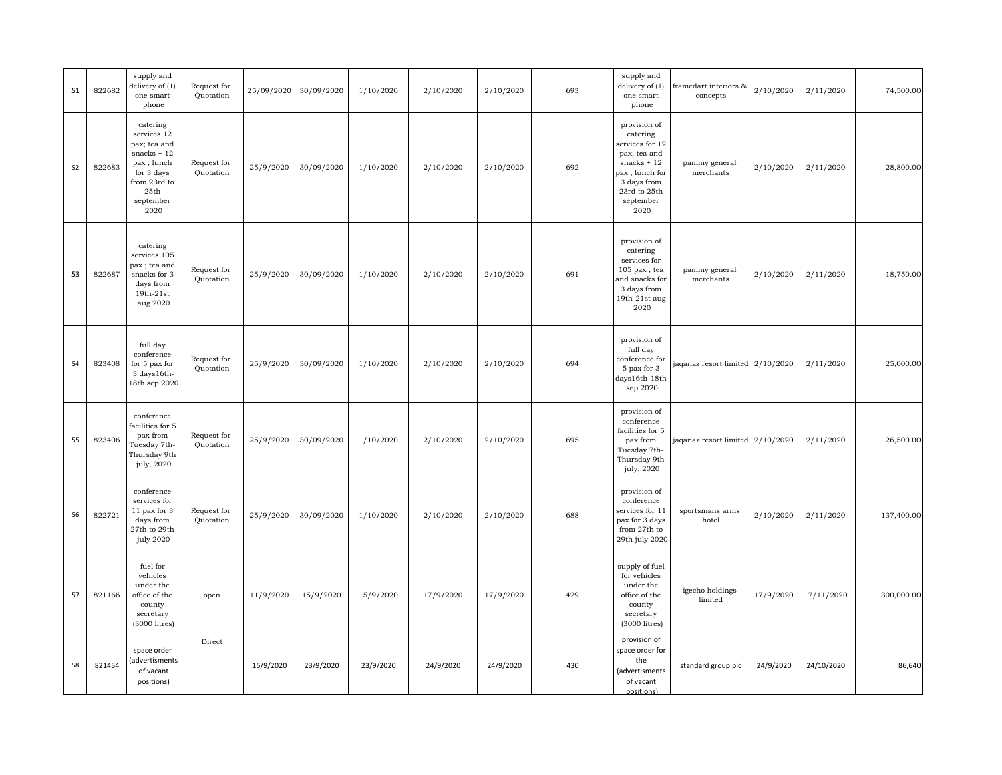| 51 | 822682 | supply and<br>delivery of (1)<br>one smart<br>phone                                                                                         | Request for<br>Quotation | 25/09/2020 | 30/09/2020 | 1/10/2020 | 2/10/2020 | 2/10/2020 | 693 | supply and<br>delivery of (1)<br>one smart<br>phone                                                                                                                      | framedart interiors &<br>concepts                | 2/10/2020 | 2/11/2020  | 74,500.00  |
|----|--------|---------------------------------------------------------------------------------------------------------------------------------------------|--------------------------|------------|------------|-----------|-----------|-----------|-----|--------------------------------------------------------------------------------------------------------------------------------------------------------------------------|--------------------------------------------------|-----------|------------|------------|
| 52 | 822683 | catering<br>services 12<br>pax; tea and<br>snacks $+12$<br>pax; lunch<br>for 3 days<br>from 23rd to<br>$25\mathrm{th}$<br>september<br>2020 | Request for<br>Quotation | 25/9/2020  | 30/09/2020 | 1/10/2020 | 2/10/2020 | 2/10/2020 | 692 | provision of<br>catering<br>services for 12<br>pax; tea and<br>snacks $+12$<br>pax ; lunch for<br>3 days from<br>$23\mathrm{rd}$ to $25\mathrm{th}$<br>september<br>2020 | pammy general<br>merchants                       | 2/10/2020 | 2/11/2020  | 28,800.00  |
| 53 | 822687 | catering<br>services 105<br>pax ; tea and<br>snacks for 3<br>days from<br>19th-21st<br>aug 2020                                             | Request for<br>Quotation | 25/9/2020  | 30/09/2020 | 1/10/2020 | 2/10/2020 | 2/10/2020 | 691 | provision of<br>catering<br>services for<br>$105$ pax; tea<br>and snacks for<br>3 days from<br>$19th-21st$ aug<br>2020                                                   | pammy general<br>merchants                       | 2/10/2020 | 2/11/2020  | 18,750.00  |
| 54 | 823408 | full day<br>conference<br>for 5 pax for<br>3 days 16th-<br>18th sep 2020                                                                    | Request for<br>Quotation | 25/9/2020  | 30/09/2020 | 1/10/2020 | 2/10/2020 | 2/10/2020 | 694 | provision of<br>full day<br>conference for<br>5 pax for 3<br>days16th-18th<br>sep 2020                                                                                   | jaqanaz resort limited 2/10/2020                 |           | 2/11/2020  | 25,000.00  |
| 55 | 823406 | conference<br>facilities for 5<br>pax from<br>Tuesday 7th-<br>Thursday 9th<br>july, 2020                                                    | Request for<br>Quotation | 25/9/2020  | 30/09/2020 | 1/10/2020 | 2/10/2020 | 2/10/2020 | 695 | provision of<br>conference<br>facilities for 5<br>pax from<br>Tuesday 7th-<br>Thursday 9th<br>july, 2020                                                                 | jaqanaz resort limited $\left[ 2/10/2020\right]$ |           | 2/11/2020  | 26,500.00  |
| 56 | 822721 | conference<br>services for<br>11 pax for 3<br>days from<br>27th to 29th<br>july 2020                                                        | Request for<br>Quotation | 25/9/2020  | 30/09/2020 | 1/10/2020 | 2/10/2020 | 2/10/2020 | 688 | provision of<br>conference<br>services for 11<br>pax for 3 days<br>from 27th to<br>29th july 2020                                                                        | sportsmans arms<br>hotel                         | 2/10/2020 | 2/11/2020  | 137,400.00 |
| 57 | 821166 | fuel for<br>vehicles<br>under the<br>office of the<br>county<br>secretary<br>(3000 litres)                                                  | open                     | 11/9/2020  | 15/9/2020  | 15/9/2020 | 17/9/2020 | 17/9/2020 | 429 | supply of fuel<br>for vehicles<br>under the<br>office of the<br>county<br>secretary<br>(3000 litres)                                                                     | igecho holdings<br>limited                       | 17/9/2020 | 17/11/2020 | 300,000.00 |
| 58 | 821454 | space order<br>advertisments)<br>of vacant<br>positions)                                                                                    | Direct                   | 15/9/2020  | 23/9/2020  | 23/9/2020 | 24/9/2020 | 24/9/2020 | 430 | provision of<br>space order for<br>the<br>(advertisments<br>of vacant<br>nositions)                                                                                      | standard group plc                               | 24/9/2020 | 24/10/2020 | 86,640     |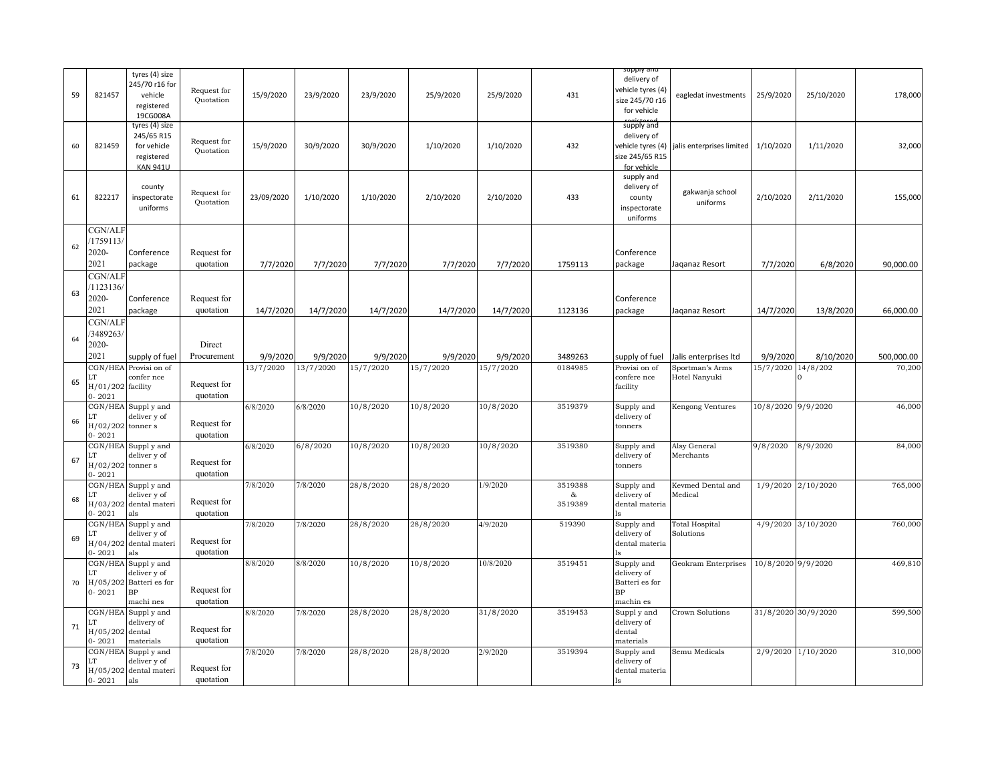| 59 | 821457                                             | tyres (4) size<br>245/70 r16 for<br>vehicle<br>registered<br>19CG008A        | Request for<br>Quotation | 15/9/2020  | 23/9/2020 | 23/9/2020 | 25/9/2020 | 25/9/2020 | 431                            | suppiy and<br>delivery of<br>vehicle tyres (4)<br>size 245/70 r16<br>for vehicle | eagledat investments               | 25/9/2020           | 25/10/2020         | 178,000    |
|----|----------------------------------------------------|------------------------------------------------------------------------------|--------------------------|------------|-----------|-----------|-----------|-----------|--------------------------------|----------------------------------------------------------------------------------|------------------------------------|---------------------|--------------------|------------|
| 60 | 821459                                             | tyres (4) size<br>245/65 R15<br>for vehicle<br>registered<br><b>KAN 941U</b> | Request for<br>Quotation | 15/9/2020  | 30/9/2020 | 30/9/2020 | 1/10/2020 | 1/10/2020 | 432                            | supply and<br>delivery of<br>vehicle tyres (4)<br>ize 245/65 R15<br>for vehicle  | jalis enterprises limited          | 1/10/2020           | 1/11/2020          | 32,000     |
| 61 | 822217                                             | county<br>inspectorate<br>uniforms                                           | Request for<br>Quotation | 23/09/2020 | 1/10/2020 | 1/10/2020 | 2/10/2020 | 2/10/2020 | 433                            | supply and<br>delivery of<br>county<br>inspectorate<br>uniforms                  | gakwanja school<br>uniforms        | 2/10/2020           | 2/11/2020          | 155,000    |
| 62 | CGN/ALF<br>1759113/<br>2020-                       | Conference                                                                   | Request for              |            |           |           |           |           |                                | Conference                                                                       |                                    |                     |                    |            |
|    | 2021                                               | package                                                                      | quotation                | 7/7/2020   | 7/7/2020  | 7/7/2020  | 7/7/2020  | 7/7/2020  | 1759113                        | package                                                                          | Jaqanaz Resort                     | 7/7/2020            | 6/8/2020           | 90,000.00  |
| 63 | CGN/ALF<br>1123136/<br>2020-<br>2021               | Conference<br>package                                                        | Request for<br>quotation | 14/7/2020  | 14/7/2020 | 14/7/2020 | 14/7/2020 | 14/7/2020 | 1123136                        | Conference<br>package                                                            | Jaqanaz Resort                     | 14/7/2020           | 13/8/2020          | 66,000.00  |
|    | CGN/ALI                                            |                                                                              |                          |            |           |           |           |           |                                |                                                                                  |                                    |                     |                    |            |
| 64 | 3489263/<br>2020-                                  |                                                                              | Direct                   |            |           |           |           |           |                                |                                                                                  |                                    |                     |                    |            |
|    | 2021                                               | supply of fuel                                                               | Procurement              | 9/9/2020   | 9/9/2020  | 9/9/2020  | 9/9/2020  | 9/9/2020  | 3489263                        | supply of fuel                                                                   | Jalis enterprises Itd              | 9/9/2020            | 8/10/2020          | 500,000.00 |
| 65 | Г.<br>$H/01/202$ facility<br>$0 - 2021$            | CGN/HEA Provisi on of<br>confer nce                                          | Request for<br>quotation | 13/7/2020  | 13/7/2020 | 15/7/2020 | 15/7/2020 | 15/7/2020 | 0184985                        | Provisi on of<br>confere nce<br>facility                                         | Sportman's Arms<br>Hotel Nanyuki   | 15/7/2020 14/8/202  | 0                  | 70,200     |
| 66 | ĹT<br>$H/02/202$ tonner s<br>$0 - 2021$            | CGN/HEA Supply and<br>deliver y of                                           | Request for<br>quotation | 6/8/2020   | 6/8/2020  | 10/8/2020 | 10/8/2020 | 10/8/2020 | 3519379                        | Supply and<br>delivery of<br>tonners                                             | Kengong Ventures                   | 10/8/2020 9/9/2020  |                    | 46,000     |
| 67 | CGN/HEA<br>ĽT<br>$H/02/202$ tonner s<br>$0 - 2021$ | Supply and<br>deliver y of                                                   | Request for<br>quotation | 6/8/2020   | 6/8/2020  | 10/8/2020 | 10/8/2020 | 10/8/2020 | 3519380                        | Supply and<br>delivery of<br>tonners                                             | Alsy General<br>Merchants          | 9/8/2020            | 8/9/2020           | 84,000     |
| 68 | CGN/HEA<br>ĽT<br>$0 - 2021$                        | Supply and<br>deliver y of<br>H/03/202 dental materi<br>als                  | Request for<br>quotation | 7/8/2020   | 7/8/2020  | 28/8/2020 | 28/8/2020 | 1/9/2020  | 3519388<br>$\alpha$<br>3519389 | Supply and<br>delivery of<br>dental materia                                      | Kevmed Dental and<br>Medical       |                     | 1/9/2020 2/10/2020 | 765,000    |
| 69 | CGN/HEA<br>ĽT<br>$0 - 2021$                        | Supply and<br>deliver y of<br>H/04/202 dental materi<br>als                  | Request for<br>quotation | 7/8/2020   | 7/8/2020  | 28/8/2020 | 28/8/2020 | 4/9/2020  | 519390                         | Supply and<br>delivery of<br>dental materia                                      | <b>Total Hospital</b><br>Solutions |                     | 4/9/2020 3/10/2020 | 760,000    |
| 70 | CGN/HEA<br>LT<br>H/05/202<br>$0 - 2021$            | Supply and<br>deliver y of<br>Batteri es for<br>$\rm BP$<br>machi nes        | Request for<br>quotation | 8/8/2020   | 8/8/2020  | 10/8/2020 | 10/8/2020 | 10/8/2020 | 3519451                        | Supply and<br>delivery of<br>Batteri es for<br>BP<br>machin es                   | Geokram Enterprises                | 10/8/2020 9/9/2020  |                    | 469,810    |
| 71 | CGN/HEA<br>.T<br>H/05/202<br>$0 - 2021$            | Supply and<br>delivery of<br>dental<br>materials                             | Request for<br>quotation | 8/8/2020   | 7/8/2020  | 28/8/2020 | 28/8/2020 | 31/8/2020 | 3519453                        | Supply and<br>delivery of<br>dental<br>materials                                 | Crown Solutions                    | 31/8/2020 30/9/2020 |                    | 599,500    |
| 73 | CGN/HEA<br>$0 - 2021$                              | Supply and<br>deliver y of<br>H/05/202 dental materi<br>als                  | Request for<br>quotation | 7/8/2020   | 7/8/2020  | 28/8/2020 | 28/8/2020 | 2/9/2020  | 3519394                        | Supply and<br>delivery of<br>dental materia                                      | Semu Medicals                      |                     | 2/9/2020 1/10/2020 | 310,000    |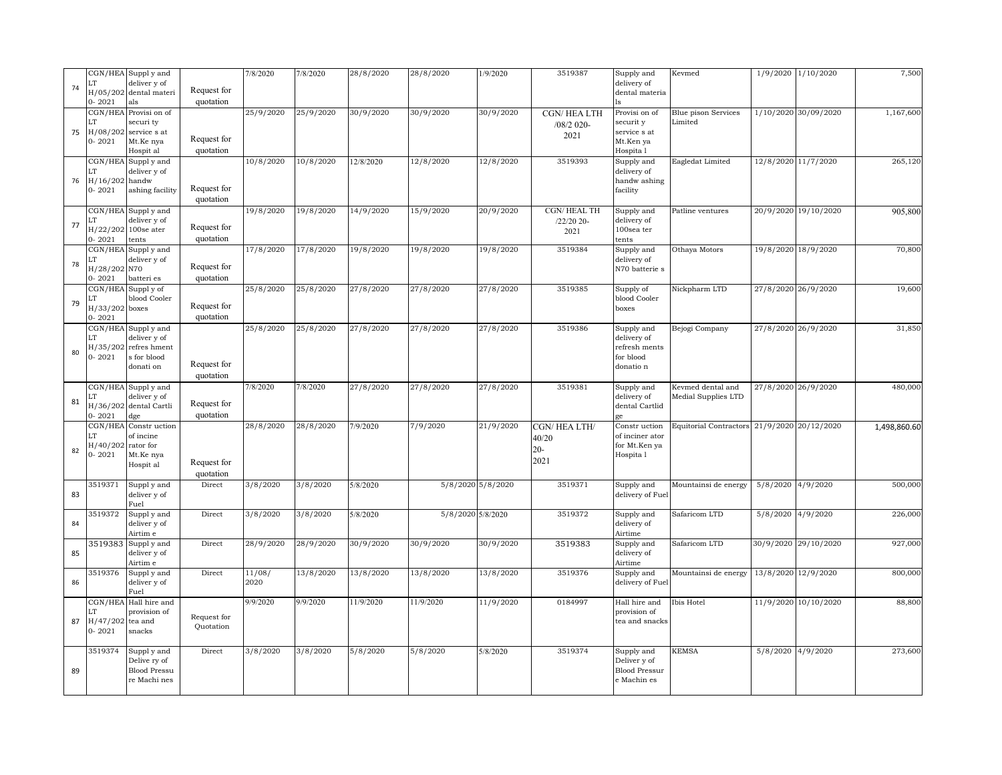| 74 | LT<br>$0 - 2021$                             | CGN/HEA Supply and<br>deliver y of<br>H/05/202 dental materi<br>als            | Request for<br>quotation | 7/8/2020       | 7/8/2020  | 28/8/2020           | 28/8/2020         | 1/9/2020          | 3519387                               | Supply and<br>delivery of<br>dental materia                          | Kevmed                                      |                     | 1/9/2020 1/10/2020   | 7,500        |
|----|----------------------------------------------|--------------------------------------------------------------------------------|--------------------------|----------------|-----------|---------------------|-------------------|-------------------|---------------------------------------|----------------------------------------------------------------------|---------------------------------------------|---------------------|----------------------|--------------|
| 75 | LТ<br>H/08/202<br>$0 - 2021$                 | CGN/HEA Provisi on of<br>securi ty<br>service s at<br>Mt.Ke nya<br>Hospit al   | Request for<br>quotation | 25/9/2020      | 25/9/2020 | 30/9/2020           | 30/9/2020         | 30/9/2020         | CGN/HEALTH<br>$/08/2$ 020-<br>2021    | Provisi on of<br>securit y<br>service s at<br>Mt.Ken ya<br>Hospita 1 | Blue pison Services<br>Limited              |                     | 1/10/2020 30/09/2020 | 1,167,600    |
| 76 | CGN/HEA<br>LT<br>H/16/202<br>$0 - 2021$      | Supply and<br>deliver y of<br>handw<br>ashing facility                         | Request for<br>quotation | 10/8/2020      | 10/8/2020 | $\frac{12}{8/2020}$ | 12/8/2020         | 12/8/2020         | 3519393                               | Supply and<br>delivery of<br>handw ashing<br>facility                | Eagledat Limited                            |                     | 12/8/2020 11/7/2020  | 265,120      |
| 77 | CGN/HEA<br>LT<br>$0 - 2021$                  | Supply and<br>deliver y of<br>H/22/202 100se ater<br>tents                     | Request for<br>quotation | 19/8/2020      | 19/8/2020 | 14/9/2020           | 15/9/2020         | 20/9/2020         | CGN/HEALTH<br>/22/20 20-<br>2021      | Supply and<br>delivery of<br>100sea ter<br>tents                     | Patline ventures                            |                     | 20/9/2020 19/10/2020 | 905,800      |
| 78 | CGN/HEA<br>ÌЛ.<br>H/28/202 N70<br>$0 - 2021$ | Supply and<br>deliver y of<br>batteri es                                       | Request for<br>quotation | 17/8/2020      | 17/8/2020 | 19/8/2020           | 19/8/2020         | 19/8/2020         | 3519384                               | Supply and<br>delivery of<br>N70 batterie s                          | Othaya Motors                               |                     | 19/8/2020 18/9/2020  | 70,800       |
| 79 | H/33/202 boxes<br>$0 - 2021$                 | CGN/HEA Supply of<br>blood Cooler                                              | Request for<br>quotation | 25/8/2020      | 25/8/2020 | 27/8/2020           | 27/8/2020         | 27/8/2020         | 3519385                               | Supply of<br>blood Cooler<br>boxes                                   | Nickpharm LTD                               |                     | 27/8/2020 26/9/2020  | 19,600       |
| 80 | LT<br>H/35/202<br>$0 - 2021$                 | CGN/HEA Supply and<br>deliver y of<br>refres hment<br>s for blood<br>donati on | Request for<br>quotation | 25/8/2020      | 25/8/2020 | 27/8/2020           | 27/8/2020         | 27/8/2020         | 3519386                               | Supply and<br>delivery of<br>refresh ments<br>for blood<br>donatio n | Bejogi Company                              |                     | 27/8/2020 26/9/2020  | 31,850       |
| 81 | T<br>H/36/202<br>$0 - 2021$                  | CGN/HEA Supply and<br>deliver y of<br>dental Cartli<br>dge                     | Request for<br>quotation | 7/8/2020       | 7/8/2020  | 27/8/2020           | 27/8/2020         | 27/8/2020         | 3519381                               | Supply and<br>delivery of<br>dental Cartlid                          | Kevmed dental and<br>Medial Supplies LTD    |                     | 27/8/2020 26/9/2020  | 480,000      |
| 82 | CGN/HEA<br>LT<br>H/40/202<br>$0 - 2021$      | Constr uction<br>of incine<br>rator for<br>Mt.Ke nya<br>Hospit al              | Request for<br>quotation | 28/8/2020      | 28/8/2020 | 7/9/2020            | 7/9/2020          | 21/9/2020         | CGN/HEALTH/<br>40/20<br>$20-$<br>2021 | Constr uction<br>of inciner ator<br>for Mt.Ken ya<br>Hospita 1       | Equitorial Contractors 21/9/2020 20/12/2020 |                     |                      | 1,498,860.60 |
| 83 | 3519371                                      | Supply and<br>deliver y of<br>Fuel                                             | Direct                   | 3/8/2020       | 3/8/2020  | 5/8/2020            |                   | 5/8/2020 5/8/2020 | 3519371                               | Supply and<br>delivery of Fuel                                       | Mountainsi de energy                        | 5/8/2020 4/9/2020   |                      | 500,000      |
| 84 | 3519372                                      | Supply and<br>deliver y of<br>Airtim e                                         | Direct                   | 3/8/2020       | 3/8/2020  | 5/8/2020            | 5/8/2020 5/8/2020 |                   | 3519372                               | Supply and<br>delivery of<br>Airtime                                 | Safaricom LTD                               | 5/8/2020 4/9/2020   |                      | 226,000      |
| 85 | 3519383                                      | Supply and<br>deliver y of<br>Airtim e                                         | Direct                   | 28/9/2020      | 28/9/2020 | 30/9/2020           | 30/9/2020         | 30/9/2020         | 3519383                               | Supply and<br>delivery of<br>Airtime                                 | Safaricom LTD                               |                     | 30/9/2020 29/10/2020 | 927,000      |
| 86 | 3519376                                      | Supply and<br>deliver y of<br>Fuel                                             | Direct                   | 11/08/<br>2020 | 13/8/2020 | 13/8/2020           | 13/8/2020         | 13/8/2020         | 3519376                               | Supply and<br>delivery of Fuel                                       | Mountainsi de energy                        | 13/8/2020 12/9/2020 |                      | 800,000      |
| 87 | CGN/HEA<br>T<br>H/47/202<br>$0 - 2021$       | Hall hire and<br>provision of<br>tea and<br>snacks                             | Request for<br>Ouotation | 9/9/2020       | 9/9/2020  | 11/9/2020           | 11/9/2020         | 11/9/2020         | 0184997                               | Hall hire and<br>provision of<br>tea and snacks                      | Ibis Hotel                                  |                     | 11/9/2020 10/10/2020 | 88,800       |
| 89 | 3519374                                      | Suppl y and<br>Delive ry of<br><b>Blood Pressu</b><br>re Machi nes             | Direct                   | 3/8/2020       | 3/8/2020  | 5/8/2020            | 5/8/2020          | 5/8/2020          | 3519374                               | Supply and<br>Deliver y of<br><b>Blood Pressur</b><br>e Machin es    | <b>KEMSA</b>                                | 5/8/2020 4/9/2020   |                      | 273,600      |